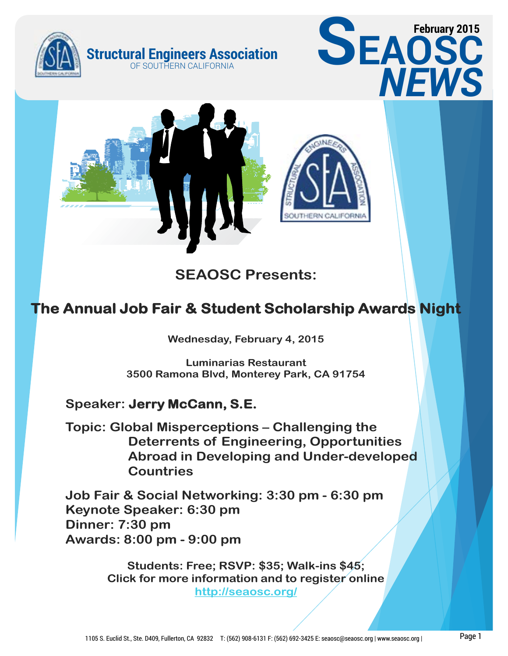





**SEAOSC Presents:**

# **The Annual Job Fair & Student Scholarship Awards Night**

**Wednesday, February 4, 2015**

**Luminarias Restaurant 3500 Ramona Blvd, Monterey Park, CA 91754**

## **Speaker: Jerry McCann, S.E.**

**Topic: Global Misperceptions – Challenging the Deterrents of Engineering, Opportunities Abroad in Developing and Under-developed Countries**

**Job Fair & Social Networking: 3:30 pm - 6:30 pm Keynote Speaker: 6:30 pm Dinner: 7:30 pm Awards: 8:00 pm - 9:00 pm**

> **Students: Free; RSVP: \$35; Walk-ins \$45; Click for more information and to register online http://seaosc.org/**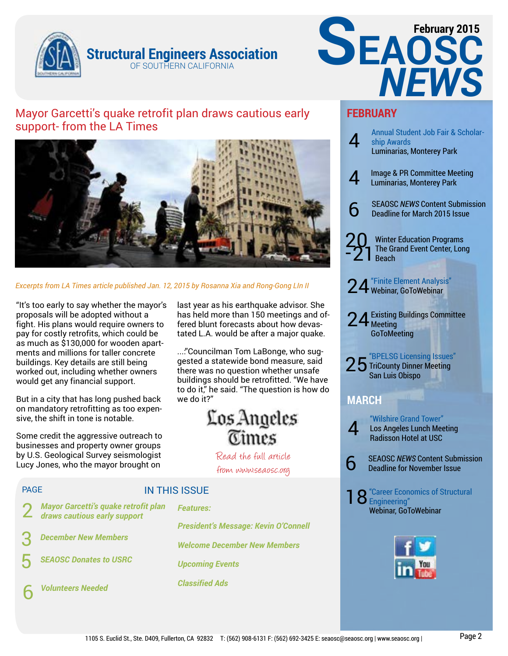



## Mayor Garcetti's quake retrofit plan draws cautious early support- from the LA Times



*Excerpts from LA Times article published Jan. 12, 2015 by Rosanna Xia and Rong-Gong LIn II*

"It's too early to say whether the mayor's proposals will be adopted without a fight. His plans would require owners to pay for costly retrofits, which could be as much as \$130,000 for wooden apartments and millions for taller concrete buildings. Key details are still being worked out, including whether owners would get any financial support.

But in a city that has long pushed back on mandatory retrofitting as too expensive, the shift in tone is notable.

Some credit the aggressive outreach to businesses and property owner groups by U.S. Geological Survey seismologist Lucy Jones, who the mayor brought on

last year as his earthquake advisor. She has held more than 150 meetings and offered blunt forecasts about how devastated L.A. would be after a major quake.

...:"Councilman Tom LaBonge, who suggested a statewide bond measure, said there was no question whether unsafe buildings should be retrofitted. "We have to do it," he said. "The question is how do we do it?"

# Los Angeles **Times**

Read the full article from www.seaosc.org

## PAGE

## IN THIS ISSUE

2 *Mayor Garcetti's quake retrofit plan draws cautious early support*

3 *December New Members*

5 *SEAOSC Donates to USRC*

6 *Volunteers Needed*

*Features: President's Message: Kevin O'Connell Welcome December New Members Upcoming Events Classified Ads*

## **FEBRUARY**



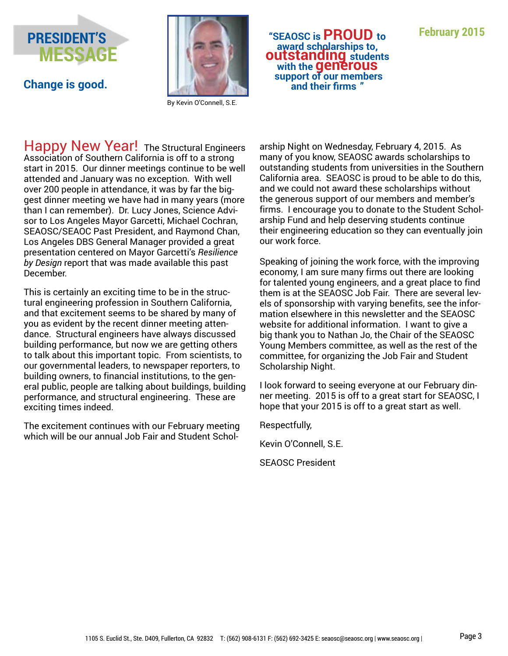



By Kevin O'Connell, S.E.

Happy New Year! The Structural Engineers Association of Southern California is off to a strong start in 2015. Our dinner meetings continue to be well attended and January was no exception. With well over 200 people in attendance, it was by far the biggest dinner meeting we have had in many years (more than I can remember). Dr. Lucy Jones, Science Advisor to Los Angeles Mayor Garcetti, Michael Cochran, SEAOSC/SEAOC Past President, and Raymond Chan, Los Angeles DBS General Manager provided a great presentation centered on Mayor Garcetti's *Resilience by Design* report that was made available this past December.

This is certainly an exciting time to be in the structural engineering profession in Southern California, and that excitement seems to be shared by many of you as evident by the recent dinner meeting attendance. Structural engineers have always discussed building performance, but now we are getting others to talk about this important topic. From scientists, to our governmental leaders, to newspaper reporters, to building owners, to financial institutions, to the general public, people are talking about buildings, building performance, and structural engineering. These are exciting times indeed.

The excitement continues with our February meeting which will be our annual Job Fair and Student Schol-

**February 2015 "SEAOSC is PROUD to autstanding students** with the **generous example the generous**<br> **Change is good. and their firms "**<br> **and their firms "** 

arship Night on Wednesday, February 4, 2015. As many of you know, SEAOSC awards scholarships to outstanding students from universities in the Southern California area. SEAOSC is proud to be able to do this, and we could not award these scholarships without the generous support of our members and member's firms. I encourage you to donate to the Student Scholarship Fund and help deserving students continue their engineering education so they can eventually join our work force.

Speaking of joining the work force, with the improving economy, I am sure many firms out there are looking for talented young engineers, and a great place to find them is at the SEAOSC Job Fair. There are several levels of sponsorship with varying benefits, see the information elsewhere in this newsletter and the SEAOSC website for additional information. I want to give a big thank you to Nathan Jo, the Chair of the SEAOSC Young Members committee, as well as the rest of the committee, for organizing the Job Fair and Student Scholarship Night.

I look forward to seeing everyone at our February dinner meeting. 2015 is off to a great start for SEAOSC, I hope that your 2015 is off to a great start as well.

Respectfully,

Kevin O'Connell, S.E.

SEAOSC President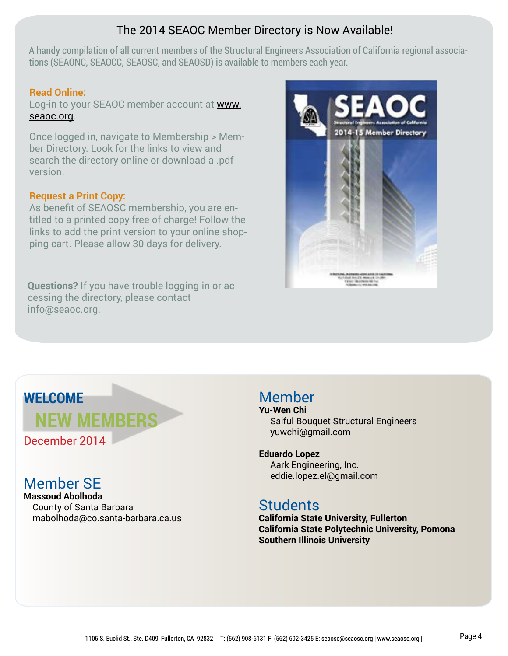## The 2014 SEAOC Member Directory is Now Available!

A handy compilation of all current members of the Structural Engineers Association of California regional associations (SEAONC, SEAOCC, SEAOSC, and SEAOSD) is available to members each year.

## **Read Online:**

Log-in to your SEAOC member account at www. seaoc.org.

Once logged in, navigate to Membership > Member Directory. Look for the links to view and search the directory online or download a .pdf version.

## **Request a Print Copy:**

As benefit of SEAOSC membership, you are entitled to a printed copy free of charge! Follow the links to add the print version to your online shopping cart. Please allow 30 days for delivery.

**Questions?** If you have trouble logging-in or accessing the directory, please contact info@seaoc.org.



# **WELCOME**

December 2014

**Massoud Abolhoda** County of Santa Barbara mabolhoda@co.santa-barbara.ca.us

**NEW MEMBERS**

# Member

**Yu-Wen Chi** Saiful Bouquet Structural Engineers yuwchi@gmail.com

## **Eduardo Lopez**

 Aark Engineering, Inc. eddie.lopez.el@gmail.com Member SE

# **Students**

**California State University, Fullerton California State Polytechnic University, Pomona Southern Illinois University**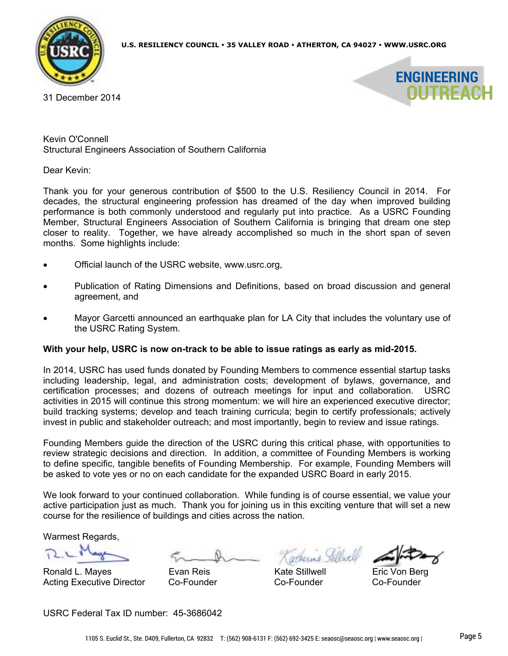

31 December 2014



Kevin O'Connell Structural Engineers Association of Southern California

Dear Kevin:

Thank you for your generous contribution of \$500 to the U.S. Resiliency Council in 2014. For decades, the structural engineering profession has dreamed of the day when improved building performance is both commonly understood and regularly put into practice. As a USRC Founding Member, Structural Engineers Association of Southern California is bringing that dream one step closer to reality. Together, we have already accomplished so much in the short span of seven months. Some highlights include:

- Official launch of the USRC website, www.usrc.org,
- Publication of Rating Dimensions and Definitions, based on broad discussion and general agreement, and
- Mayor Garcetti announced an earthquake plan for LA City that includes the voluntary use of the USRC Rating System.

#### **With your help, USRC is now on-track to be able to issue ratings as early as mid-2015.**

In 2014, USRC has used funds donated by Founding Members to commence essential startup tasks including leadership, legal, and administration costs; development of bylaws, governance, and certification processes; and dozens of outreach meetings for input and collaboration. USRC activities in 2015 will continue this strong momentum: we will hire an experienced executive director; build tracking systems; develop and teach training curricula; begin to certify professionals; actively invest in public and stakeholder outreach; and most importantly, begin to review and issue ratings.

Founding Members guide the direction of the USRC during this critical phase, with opportunities to review strategic decisions and direction. In addition, a committee of Founding Members is working to define specific, tangible benefits of Founding Membership. For example, Founding Members will be asked to vote yes or no on each candidate for the expanded USRC Board in early 2015.

We look forward to your continued collaboration. While funding is of course essential, we value your active participation just as much. Thank you for joining us in this exciting venture that will set a new course for the resilience of buildings and cities across the nation.

Warmest Regards,

Ronald L. Mayes Evan Reis Kate Stillwell Eric Von Berg Acting Executive Director Co-Founder Co-Founder Co-Founder

USRC Federal Tax ID number: 45-3686042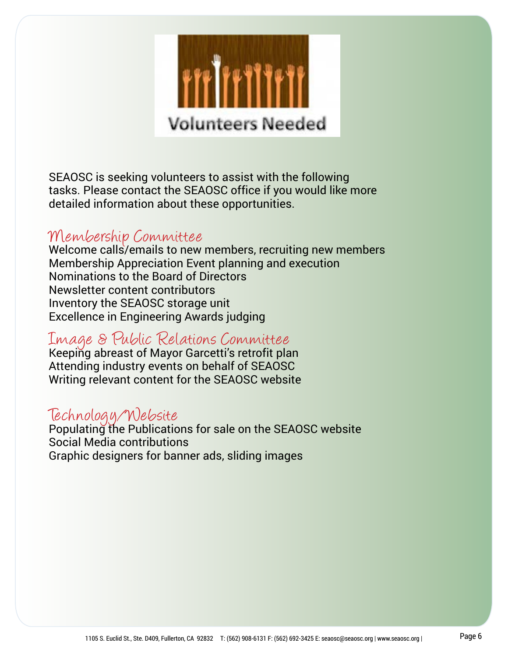

SEAOSC is seeking volunteers to assist with the following tasks. Please contact the SEAOSC office if you would like more detailed information about these opportunities.

# Membership Committee

Welcome calls/emails to new members, recruiting new members Membership Appreciation Event planning and execution Nominations to the Board of Directors Newsletter content contributors Inventory the SEAOSC storage unit Excellence in Engineering Awards judging

# Image & Public Relations Committee

Keeping abreast of Mayor Garcetti's retrofit plan Attending industry events on behalf of SEAOSC Writing relevant content for the SEAOSC website

# Technology/Website

Populating the Publications for sale on the SEAOSC website Social Media contributions Graphic designers for banner ads, sliding images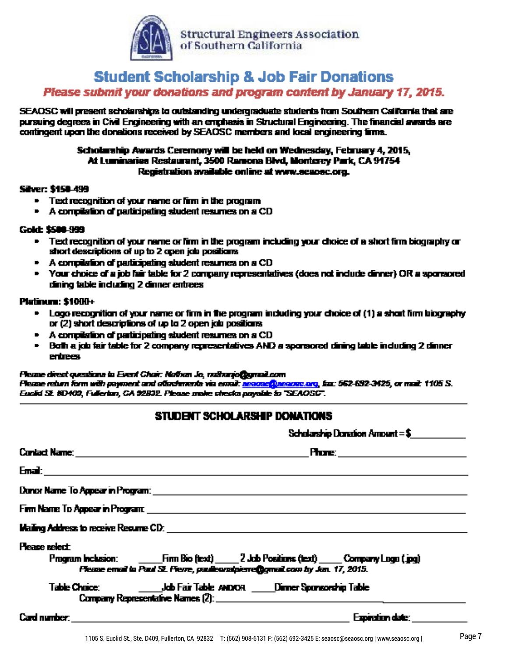

## **Student Scholarship & Job Fair Donations** Please submit your donations and program content by January 17, 2015.

SEAOSC will present scholarships to outstanding undergraduate students from Southern California that are pursuing degrees in Civil Engineering with an emphasis in Structural Engineering. The financial awards are contingent upon the donations received by SEAOSC members and local engineering firms.

## Scholarship Awards Ceremony will be held on Wednesday, February 4, 2015, At Luminarias Restaurant, 3500 Ramona Blvd, Monterey Park, CA 94754 Registration available online at www.seapsc.org.

## Silver: \$150-499

- $\blacksquare$  Text recognition of your name or firm in the program
- A compilation of participating student resumes on a CD

## Gold: \$500-999

- . Text recognition of your name or firm in the program including your choice of a short firm biography or short descriptions of up to 2 open job positions.
- A compilation of participating student resumes on a CD
- Your choice of a job fair table for 2 company representatives (does not include dinner) OR a sponsored dining table including 2 dinner entrees

## Platinum: \$10HH+

- Logo recognition of your name or firm in the program including your choice of (1) a short firm biography or (2) short descriptions of up to 2 open job positions.
- A compilation of participating student resumes on a CD
- Both a job fair table for 2 company representatives AND a sponsored dining table including 2 dinner **entrees**

#### Please direct questions to Event Chair: Nathan Jo, nathanjo@gmail.com

Flesse reben form with payment and offerdaments via email: <u>negoscip</u>negroso, org. fax: 562-692-3425, or mail: 1105 S. Euclid St. 8D409, Fullerian, CA 92832. Please make checka payable to "SEAOSC".

## STUDENT SCHOLARSHIP DONATIONS

|                                                                                                                         |                                                                                |                                                                                                                                                                                                                                     | Scholarship Donation Amount $=\ $$ |  |  |
|-------------------------------------------------------------------------------------------------------------------------|--------------------------------------------------------------------------------|-------------------------------------------------------------------------------------------------------------------------------------------------------------------------------------------------------------------------------------|------------------------------------|--|--|
|                                                                                                                         |                                                                                | <b>Phone:</b> The contract of the contract of the contract of the contract of the contract of the contract of the contract of the contract of the contract of the contract of the contract of the contract of the contract of the c |                                    |  |  |
|                                                                                                                         |                                                                                |                                                                                                                                                                                                                                     |                                    |  |  |
| Dunck Name To Appear in Program: <b>Appear in Appear in Appear</b> in Appear in Appear in Appear in Appear in Appear in |                                                                                |                                                                                                                                                                                                                                     |                                    |  |  |
|                                                                                                                         |                                                                                |                                                                                                                                                                                                                                     |                                    |  |  |
|                                                                                                                         |                                                                                |                                                                                                                                                                                                                                     |                                    |  |  |
| <b>Please relect</b>                                                                                                    | Please email to Paul St. Fierre, paulieurstpierreftgmail.com by Jan. 17, 2015. |                                                                                                                                                                                                                                     |                                    |  |  |
|                                                                                                                         |                                                                                |                                                                                                                                                                                                                                     |                                    |  |  |
| <b>Card number: Card number: Card 2006 Card 2006 Card 2006 Card 2006 Card 2006</b>                                      |                                                                                |                                                                                                                                                                                                                                     | Expiration date:                   |  |  |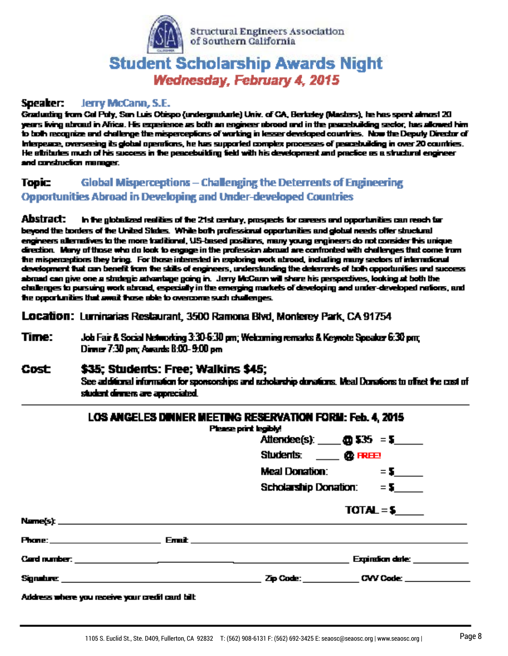

# **Student Scholarship Awards Night** Wednesday, February 4, 2015

#### Speaker: Jerry McCann, S.E.

Graduating from Cal Puly, San Luis Obispo (undergraduate) Univ. of CA, Berkeley (Masters), he has spent almost 20 years living abroad in Africa. His experience as both an engineer abroad and in the peacebuilding sector, has allowed him to both recognize and challenge the misperceptions of working in lesser developed countries. Now the Deputy Director of interpeace, overseeing its global operations, he has supported complex processes of peacebuilding in over 20 countries. He stributes much of his success in the peacebuilding field with his development and practice as a structural engineer and construction manager.

#### **Global Misperceptions - Challenging the Deterrents of Engineering Topic: Opportunities Abroad in Developing and Under-developed Countries**

Abstract: in the globalized realities of the 21st century, prospects for careers and opportunities can reach for beyond the borders of the United States. While both professional opportunities and global needs offer structural engineers alternatives to the more traditional, US-based positions, many young engineers do not consider this unique direction. Many of those who do look to engage in the profession abound are confronted with challenges that come from the misperceptions they bring. For those interested in exploring work abroad, including many sectors of international development that can benefit from the stills of engineers, understanding the deterrents of both opportunifies and success abmad can give one a strategic advantage going in. Jerry McCann will share his perspectives, looking at both the challenges to pursuing work abroad, especially in the emerging markets of developing and under-developed nations, and he coportunities that small flose able to overcome such challenges.

Location: Luminarias Restaurant, 3500 Ramona Blvd, Monterey Park, CA 91754

Time: Job Fair & Social Networking 3:30-6:30 pm; Welcoming remarks & Keynote Speaker 6:30 pm; Dinner 7:30 pm; Awards 8:00-9:00 pm

#### Cost \$35: Students: Free: Walkins \$45: See additional information for sponsorships and echolarship dunations. Meal Donations to offset the cost of student dinners are appreciated.

|  | Attendee(s): $\qquad \qquad \text{Q}$ \$35 = \$ |
|--|-------------------------------------------------|
|  | Students: <b>Q</b> FREE                         |
|  | <b>Meal Donation:</b> $=$ 5                     |
|  | Scholarship Donation: $= 5$ _____               |
|  | $TOTAL = $$                                     |
|  |                                                 |
|  |                                                 |
|  | Expiration date: ___________                    |
|  |                                                 |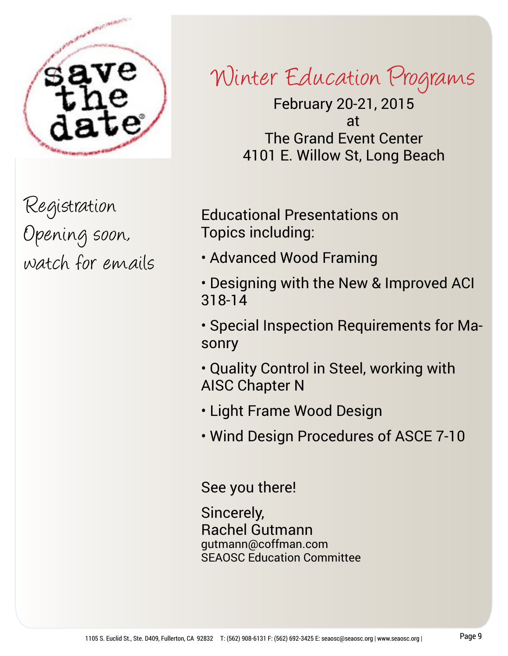

Registration Opening soon, watch for emails

# Winter Education Programs

February 20-21, 2015 at The Grand Event Center 4101 E. Willow St, Long Beach

Educational Presentations on Topics including:

- Advanced Wood Framing
- Designing with the New & Improved ACI 318-14
- Special Inspection Requirements for Masonry
- Quality Control in Steel, working with AISC Chapter N
- Light Frame Wood Design
- Wind Design Procedures of ASCE 7-10

See you there!

Sincerely, Rachel Gutmann gutmann@coffman.com SEAOSC Education Committee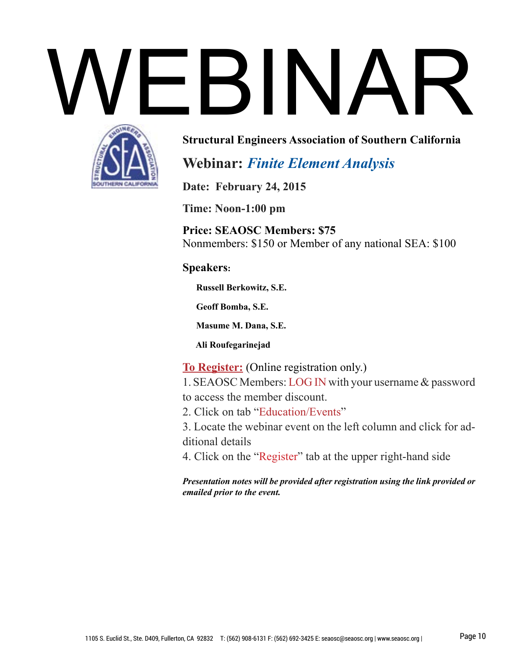# WEBINAR



## **Structural Engineers Association of Southern California**

# **Webinar:** *Finite Element Analysis*

**Date: February 24, 2015** 

**Time: Noon-1:00 pm**

**Price: SEAOSC Members: \$75** Nonmembers: \$150 or Member of any national SEA: \$100

## **Speakers:**

 **Russell Berkowitz, S.E.**

 **Geoff Bomba, S.E.**

 **Masume M. Dana, S.E.**

 **Ali Roufegarinejad**

**To Register:** (Online registration only.)

1. SEAOSC Members: LOG IN with your username & password to access the member discount.

2. Click on tab "Education/Events"

3. Locate the webinar event on the left column and click for additional details

4. Click on the "Register" tab at the upper right-hand side

*Presentation notes will be provided after registration using the link provided or emailed prior to the event.*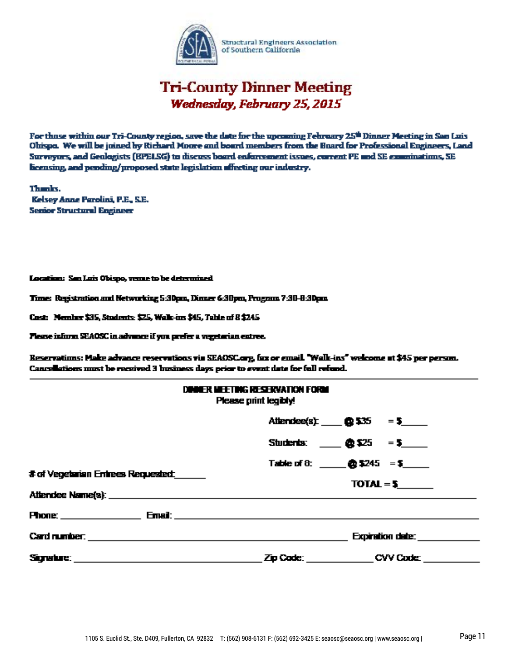

# **Tri-County Dinner Meeting** Wednesday, February 25, 2015

For those within our Tri-County region, save the date for the upcoming February 25th Dinner Meeting in San Luis Ohispo. We will be joined by Richard Moore and board members from the Board for Professional Engineers, Land Surveyors, and Geologists (BPELSG) to discuss board enforcement issues, current PE and SE examinations, SE licensing, and pending/proposed state legislation affecting our industry.

Thanks. Kelsey Anne Parolini, P.E., S.E. **Serior Structural Engineer** 

Location: San Luis Obispo, venue to be determined

Time: Registration and Networking 5:30pm, Dinner 6:30pm, Program 7:30-8:30pm

Cost: Member \$35, Students: \$25, Walk-ins \$45, Table of 8 \$245

Please inform SEAOSC in advance if you prefer a vegetarian entree.

Reservations: Make advance reservations via SEAOSC carg, fax or email. "Walk-ins" welcome at \$45 per person. Cancellations must be received 3 business days prior to event date for full refund.

|                                                                                                                                                                                                   | DINNER MEETING RESERVATION FORM<br>Please print legibly! |                                                        |  |
|---------------------------------------------------------------------------------------------------------------------------------------------------------------------------------------------------|----------------------------------------------------------|--------------------------------------------------------|--|
|                                                                                                                                                                                                   |                                                          | Attendee(s): $\bullet$ 535 = 5                         |  |
|                                                                                                                                                                                                   |                                                          | Students: ____ @ \$25 = \$____                         |  |
| # of Venetarian Errirees Requested:                                                                                                                                                               |                                                          | Table of $\theta$ : $\theta$ \$245 = \$<br>$TOTAL = 5$ |  |
|                                                                                                                                                                                                   |                                                          |                                                        |  |
| <b>Phone:</b> Email: <b>Email: Email: Email: Email: Email: Email: Email: Example: Email: Example: Email: Example: Email: Example: Example: Example: Example: Example: Example: Example: Examp</b> |                                                          |                                                        |  |
|                                                                                                                                                                                                   |                                                          | <b>Expiration date:</b>                                |  |
|                                                                                                                                                                                                   |                                                          | <b>Zip Code: CVV Code:</b>                             |  |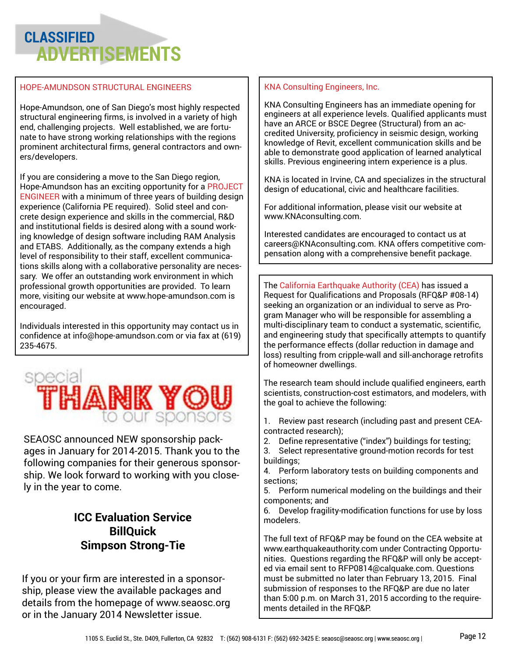# **CLASSIFIED ADVERTISEMENTS**

## HOPE-AMUNDSON STRUCTURAL ENGINEERS

Hope-Amundson, one of San Diego's most highly respected structural engineering firms, is involved in a variety of high end, challenging projects. Well established, we are fortunate to have strong working relationships with the regions prominent architectural firms, general contractors and owners/developers.

If you are considering a move to the San Diego region, Hope-Amundson has an exciting opportunity for a PROJECT ENGINEER with a minimum of three years of building design experience (California PE required). Solid steel and concrete design experience and skills in the commercial, R&D and institutional fields is desired along with a sound working knowledge of design software including RAM Analysis and ETABS. Additionally, as the company extends a high level of responsibility to their staff, excellent communications skills along with a collaborative personality are necessary. We offer an outstanding work environment in which professional growth opportunities are provided. To learn more, visiting our website at www.hope-amundson.com is encouraged.

Individuals interested in this opportunity may contact us in confidence at info@hope-amundson.com or via fax at (619) 235-4675.



SEAOSC announced NEW sponsorship packages in January for 2014-2015. Thank you to the following companies for their generous sponsorship. We look forward to working with you closely in the year to come.

## **ICC Evaluation Service BillQuick Simpson Strong-Tie**

If you or your firm are interested in a sponsorship, please view the available packages and details from the homepage of www.seaosc.org or in the January 2014 Newsletter issue.

## KNA Consulting Engineers, Inc.

KNA Consulting Engineers has an immediate opening for engineers at all experience levels. Qualified applicants must have an ARCE or BSCE Degree (Structural) from an accredited University, proficiency in seismic design, working knowledge of Revit, excellent communication skills and be able to demonstrate good application of learned analytical skills. Previous engineering intern experience is a plus.

KNA is located in Irvine, CA and specializes in the structural design of educational, civic and healthcare facilities.

For additional information, please visit our website at [www.KNAconsulting.com](http://www.knaconsulting.com/).

Interested candidates are encouraged to contact us at [careers@KNAconsulting.com.](mailto:careers@KNAconsulting.com) KNA offers competitive compensation along with a comprehensive benefit package.

The California Earthquake Authority (CEA) has issued a Request for Qualifications and Proposals (RFQ&P #08-14) seeking an organization or an individual to serve as Program Manager who will be responsible for assembling a multi-disciplinary team to conduct a systematic, scientific, and engineering study that specifically attempts to quantify the performance effects (dollar reduction in damage and loss) resulting from cripple-wall and sill-anchorage retrofits of homeowner dwellings.

The research team should include qualified engineers, earth scientists, construction-cost estimators, and modelers, with the goal to achieve the following:

- 1. Review past research (including past and present CEAcontracted research);
- 2. Define representative ("index") buildings for testing; 3. Select representative ground-motion records for test
- buildings; 4. Perform laboratory tests on building components and sections;
- 5. Perform numerical modeling on the buildings and their components; and
- 6. Develop fragility-modification functions for use by loss modelers.

The full text of RFQ&P may be found on the CEA website at www.earthquakeauthority.com under Contracting Opportunities. Questions regarding the RFQ&P will only be accepted via email sent to RFP0814@calquake.com. Questions must be submitted no later than February 13, 2015. Final submission of responses to the RFQ&P are due no later than 5:00 p.m. on March 31, 2015 according to the requirements detailed in the RFQ&P.